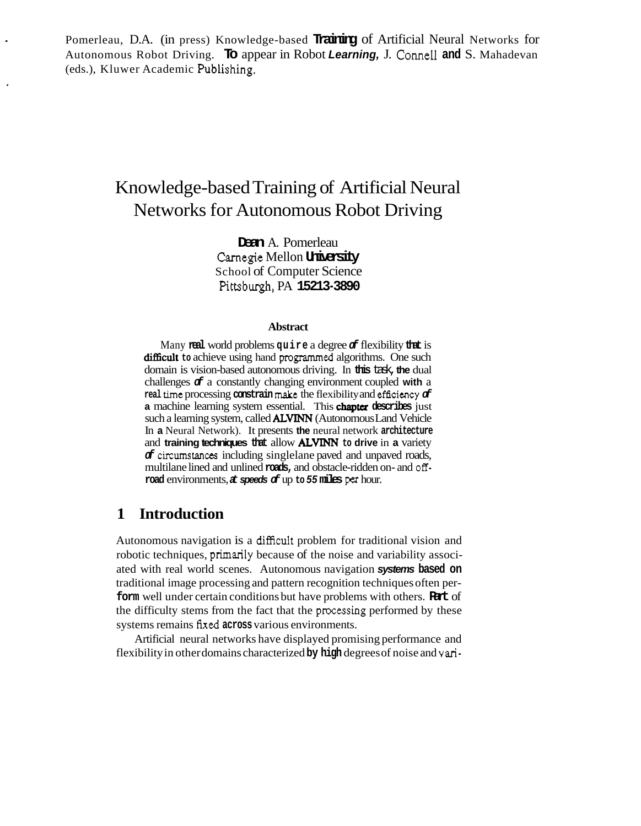Pomerleau, D.A. (in press) Knowledge-based **Training** of Artificial Neural Networks for Autonomous Robot Driving. **To** appear in Robot *Learning,* J. Connell **and** S. Mahadevan (eds.), Kluwer Academic Publishing.

# Knowledge-based Training of Artificial Neural Networks for Autonomous Robot Driving

**Dean** A. Pomerleau Carnegie Mellon **University**  School of Computer Science **Pittsburgh,** PA **15213-3890** 

#### **Abstract**

Many **real** world problems **quire** a degree *of* flexibility **that** is difficult to achieve using hand programmed algorithms. One such domain is vision-based autonomous driving. In **this** task, **the** dual challenges *of* a constantly changing environment coupled **with** a **real** the processing **constrain make** the flexibility and **efficiency** *of*  **a** machine learning system essential. This *chapter* **describes** just such a learning system, called *ALVINN* (Autonomous Land Vehicle In **a** Neural Network). It presents **the** neural network **architecture**  and **training techniques** that allow **ALVINN** to drive in a variety *of* circumstances including singlelane paved and unpaved roads, multilane lined and unlined **roads,** and obstacle-ridden on- and **offroad** environments, *at speeds of* up **to** *55* **miles per** hour.

# **1 Introduction**

 $\cdot$ 

Autonomous navigation is a difficult problem for traditional vision and robotic techniques, primarily because of the noise and variability associated with real world scenes. Autonomous navigation *systems* **based on**  traditional image processing and pattern recognition techniques often per**form** well under certain conditions but have problems with others. **Part** of the difficulty stems from the fact that the processing performed by these systems remains **fixed across** various environments.

Artificial neural networks have displayed promising performance and flexibility in other domains characterized **by high** degrees of noise and vari-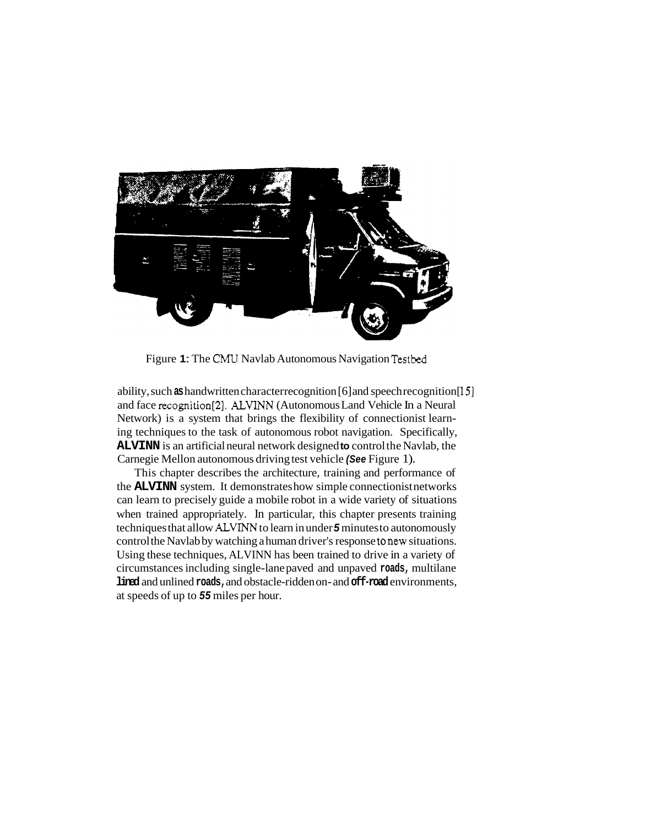

Figure **1** : The *CMU* Navlab Autonomous Navigation Testbed

ability, such **as** handwritten character recognition [6] and speech recognition[ **151**  and face recognition[2]. ALVINN (Autonomous Land Vehicle In a Neural Network) is a system that brings the flexibility of connectionist learning techniques to the task of autonomous robot navigation. Specifically, **ALVINN** is an artificial neural network designed **to** control the Navlab, the Carnegie Mellon autonomous driving test vehicle *(See* Figure 1).

This chapter describes the architecture, training and performance of the **ALVINN** system. It demonstrates how simple connectionist networks can learn to precisely guide a mobile robot in a wide variety of situations when trained appropriately. In particular, this chapter presents training techniques that allow ALVINN to learn in under 5 minutes to autonomously control the Navlab by watching a human driver's response tonew situations. Using these techniques, ALVINN has been trained to drive in a variety of circumstances including single-lane paved and unpaved **roads,** multilane **lined** and unlined **roads,** and obstacle-ridden on- and **off-road** environments, at speeds of up to *55* miles per hour.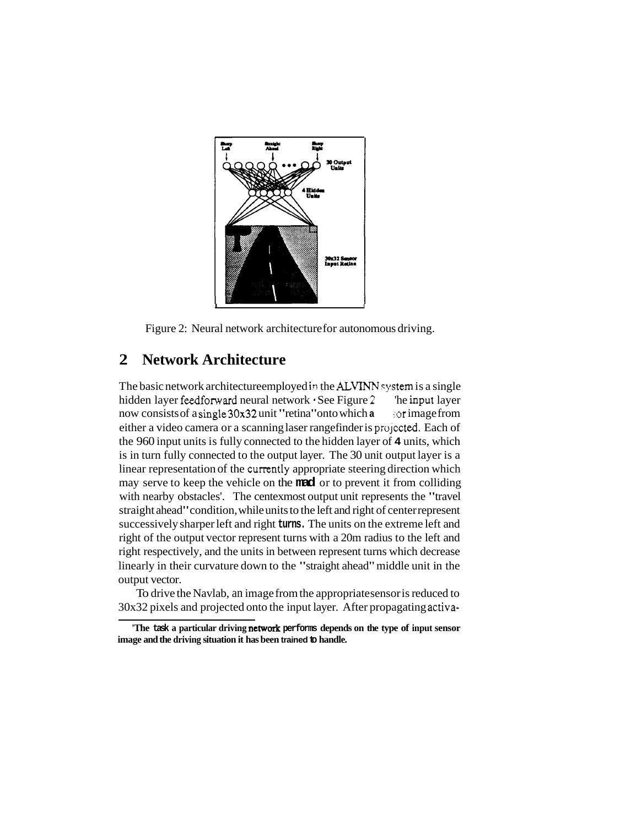

Figure 2: Neural network architecture for autonomous driving.

# **2 Network Architecture**

The basic network architecture employed in the ALVINN system is a single hidden layer feedforward neural network See Figure 2 <sup>he</sup> input layer now consists of a single 30x32 unit "retina" onto which **a** sor image from either a video camera or a scanning laser rangefinder is projected. Each of the 960 input units is fully connected to the hidden layer of **4** units, which is in turn fully connected to the output layer. The 30 unit output layer is a linear representation of the currently appropriate steering direction which may serve to keep the vehicle on the **mad** or to prevent it from colliding with nearby obstacles'. The centexmost output unit represents the "travel straight ahead" condition, while units to the left and right of center represent successively sharper left and right **turns.** The units on the extreme left and right of the output vector represent turns with a 20m radius to the left and right respectively, and the units in between represent turns which decrease linearly in their curvature down to the "straight ahead" middle unit in the output vector.

To drive the Navlab, an image from the appropriate sensor is reduced to 30x32 pixels and projected onto the input layer. After propagating activa-

**<sup>&#</sup>x27;The task a particular driving network performs depends on the type of input sensor image and the driving situation it has been trained to handle.**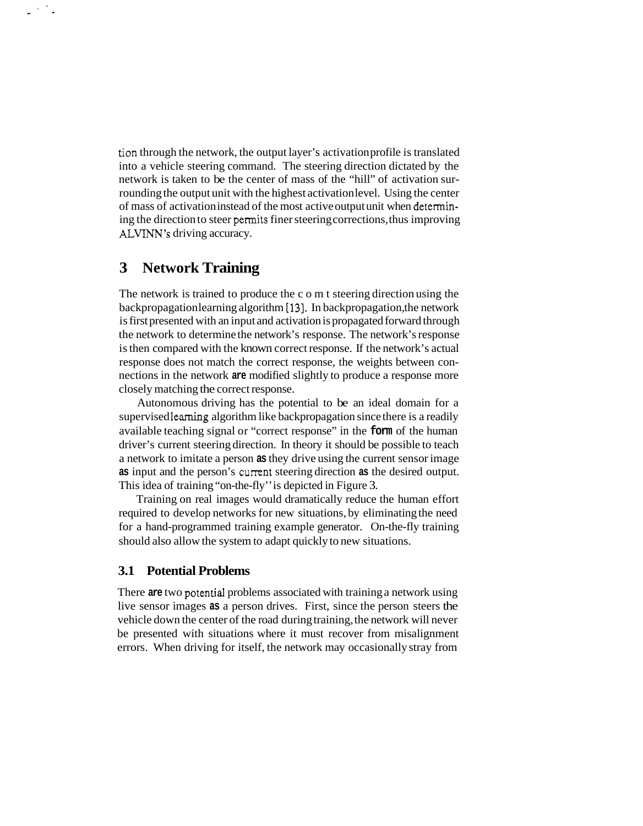tion through the network, the output layer's activation profile is translated into a vehicle steering command. The steering direction dictated by the network is taken to be the center of mass of the "hill" of activation surrounding the output unit with the highest activation level. Using the center of mass of activation instead of the most active output unit when determining the direction to steer pennits finer steering corrections, thus improving ALVINN's driving accuracy.

# **3 Network Training**

The network is trained to produce the comt steering direction using the backpropagation learning algorithm [ **131.** In backpropagation, the network is first presented with an input and activation is propagated forward through the network to determine the network's response. The network's response is then compared with the known correct response. If the network's actual response does not match the correct response, the weights between connections in the network **are** modified slightly to produce a response more closely matching the correct response.

Autonomous driving has the potential to be an ideal domain for a supervised leaming algorithm like backpropagation since there is a readily available teaching signal or "correct response" in the **form** of the human driver's current steering direction. In theory it should be possible to teach a network to imitate a person **as** they drive using the current sensor image **as** input and the person's current steering direction **as** the desired output. This idea of training "on-the-fly'' is depicted in Figure 3.

Training on real images would dramatically reduce the human effort required to develop networks for new situations, by eliminating the need for a hand-programmed training example generator. On-the-fly training should also allow the system to adapt quickly to new situations.

#### **3.1 Potential Problems**

There **are** two potential problems associated with training a network using live sensor images **as** a person drives. First, since the person steers the vehicle down the center of the road during training, the network will never be presented with situations where it must recover from misalignment errors. When driving for itself, the network may occasionally stray from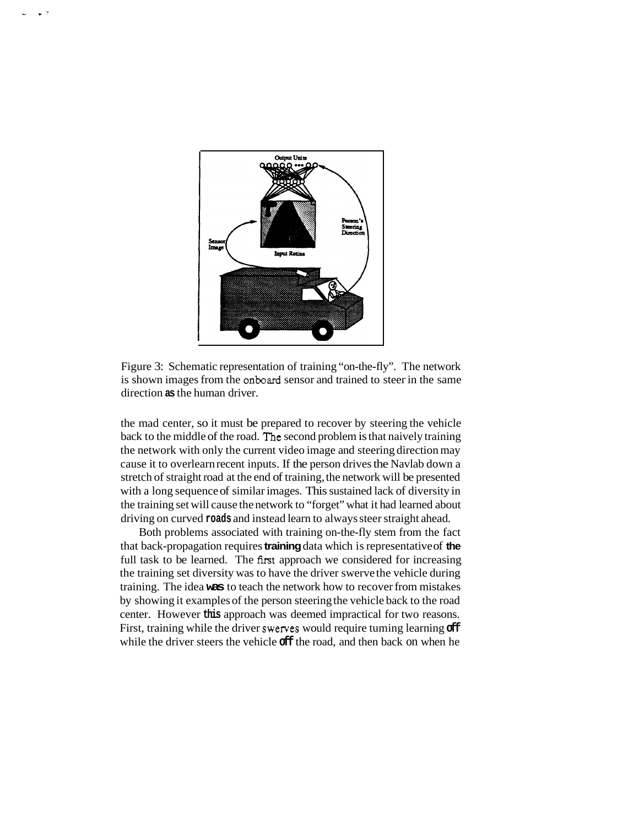

Figure 3: Schematic representation of training "on-the-fly". The network is shown images from the onboard sensor and trained to steer in the same direction **as** the human driver.

the mad center, so it must be prepared to recover by steering the vehicle back to the middle of the road. **The** second problem is that naively training the network with only the current video image and steering direction may cause it to overlearn recent inputs. If the person drives the Navlab down a stretch of straight road at the end of training, the network will be presented with a long sequence of similar images. This sustained lack of diversity in the training set will cause the network to "forget" what it had learned about driving on curved **roads** and instead learn to always steer straight ahead.

Both problems associated with training on-the-fly stem from the fact that back-propagation requires **training** data which is representative of **the**  full task to be learned. The first approach we considered for increasing the training set diversity was to have the driver swerve the vehicle during training. The idea **was** to teach the network how to recover from mistakes by showing it examples of the person steering the vehicle back to the road center. However **this** approach was deemed impractical for two reasons. First, training while the driver swerves would require tuming learning **off** while the driver steers the vehicle **off** the road, and then back on when he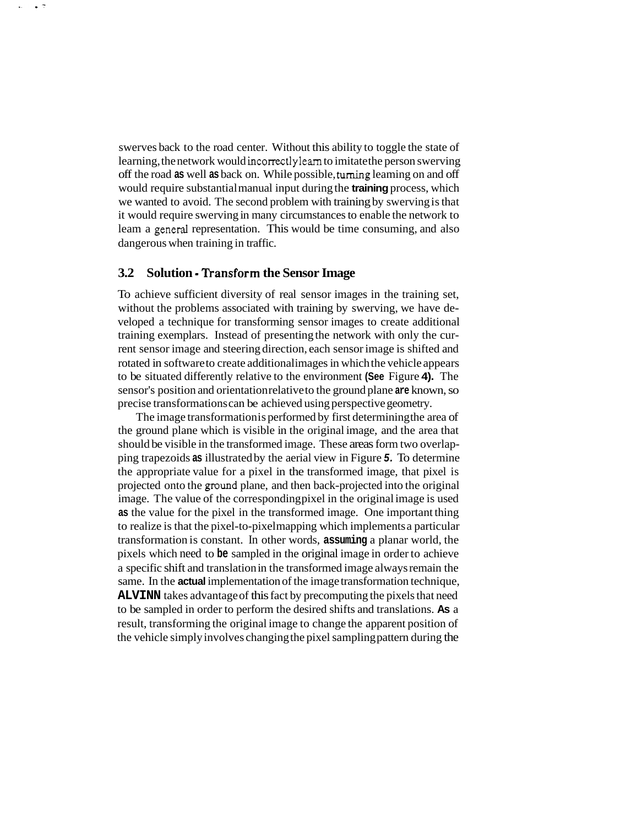swerves back to the road center. Without this ability to toggle the state of learning, the network would incorrectly leam to imitate the person swerving off the road **as** well **as** back on. While possible, **tuming** leaming on and off would require substantial manual input during the **training** process, which we wanted to avoid. The second problem with training by swerving is that it would require swerving in many circumstances to enable the network to leam a general representation. This would be time consuming, and also dangerous when training in traffic.

#### **3.2 Solution** - **"Yansform the Sensor Image**

To achieve sufficient diversity of real sensor images in the training set, without the problems associated with training by swerving, we have developed a technique for transforming sensor images to create additional training exemplars. Instead of presenting the network with only the current sensor image and steering direction, each sensor image is shifted and rotated in software to create additional images in which the vehicle appears to be situated differently relative to the environment **(See** Figure **4).** The sensor's position and orientation relative to the ground plane **are** known, so precise transformations can be achieved using perspective geometry.

The image transformation is performed by first determining the area of the ground plane which is visible in the original image, and the area that should be visible in the transformed image. These areas form two overlapping trapezoids **as** illustrated by the aerial view in Figure *5.* To determine the appropriate value for a pixel in the transformed image, that pixel is projected onto the ground plane, and then back-projected into the original image. The value of the corresponding pixel in the original image is used **as** the value for the pixel in the transformed image. One important thing to realize is that the pixel-to-pixel mapping which implements a particular transformation is constant. In other words, **assuming** a planar world, the pixels which need to **be** sampled in the original image in order to achieve a specific shift and translation in the transformed image always remain the same. In the **actual** implementation of the image transformation technique, **ALVINN** takes advantage of this fact by precomputing the pixels that need to be sampled in order to perform the desired shifts and translations. **As** a result, transforming the original image to change the apparent position of the vehicle simply involves changing the pixel sampling pattern during the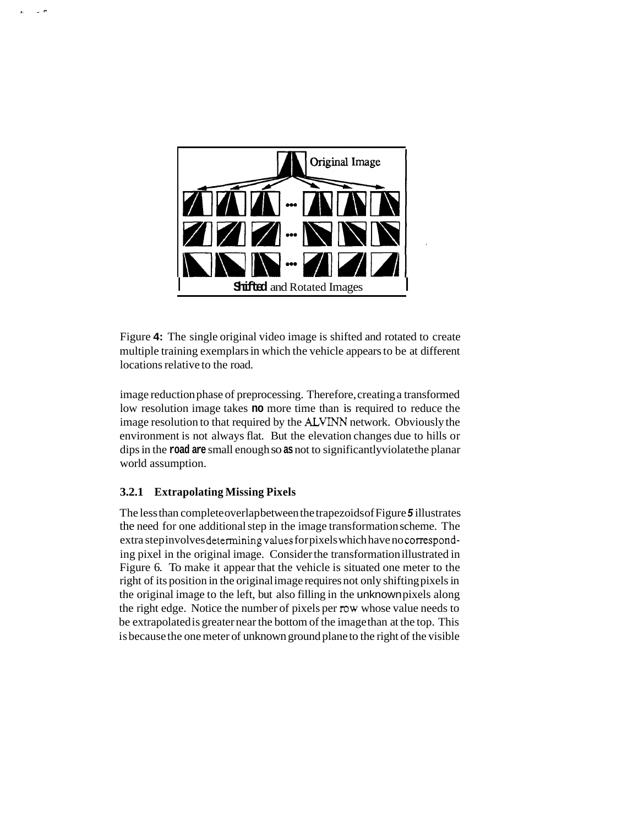

Figure **4:** The single original video image is shifted and rotated to create multiple training exemplars in which the vehicle appears to be at different locations relative to the road.

image reduction phase of preprocessing. Therefore, creating a transformed low resolution image takes **no** more time than is required to reduce the image resolution to that required by the ALVINN network. Obviously the environment is not always flat. But the elevation changes due to hills or dips in the **road are** small enough so **as** not to significantlyviolate the planar world assumption.

### **3.2.1 Extrapolating Missing Pixels**

 $\overline{a}$ 

The less than complete overlap between the trapezoids of Figure *5* illustrates the need for one additional step in the image transformation scheme. The extra step involves determining values for pixels which have no corresponding pixel in the original image. Consider the transformation illustrated in Figure 6. To make it appear that the vehicle is situated one meter to the right of its position in the original image requires not only shifting pixels in the original image to the left, but also filling in the unknown pixels along the right edge. Notice the number of pixels per **row** whose value needs to be extrapolated is greater near the bottom of the image than at the top. This is because the one meter of unknown ground plane to the right of the visible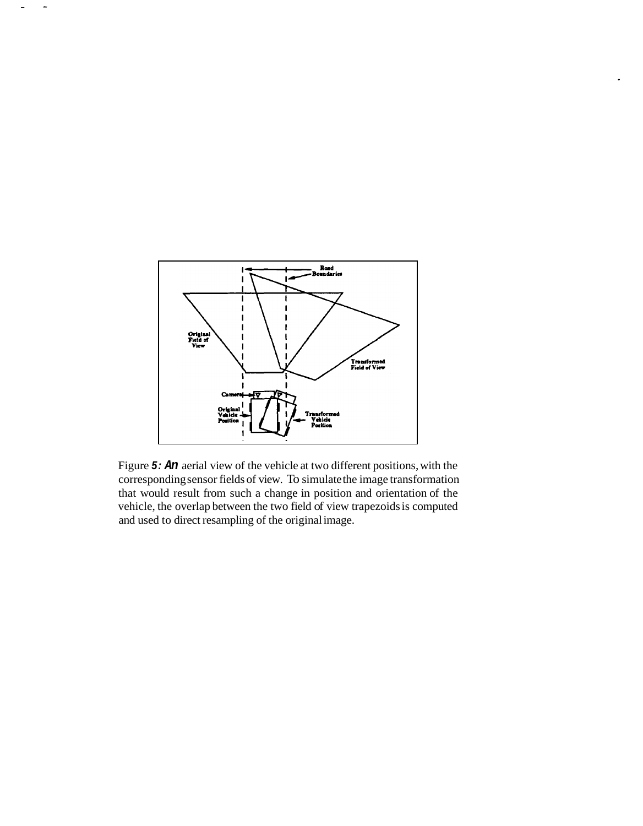

 $\overline{\phantom{a}}$ 

Figure *5: An* aerial view of the vehicle at two different positions, with the corresponding sensor fields of view. To simulate the image transformation that would result from such a change in position and orientation of the vehicle, the overlap between the two field of view trapezoids is computed and used to direct resampling of the original image.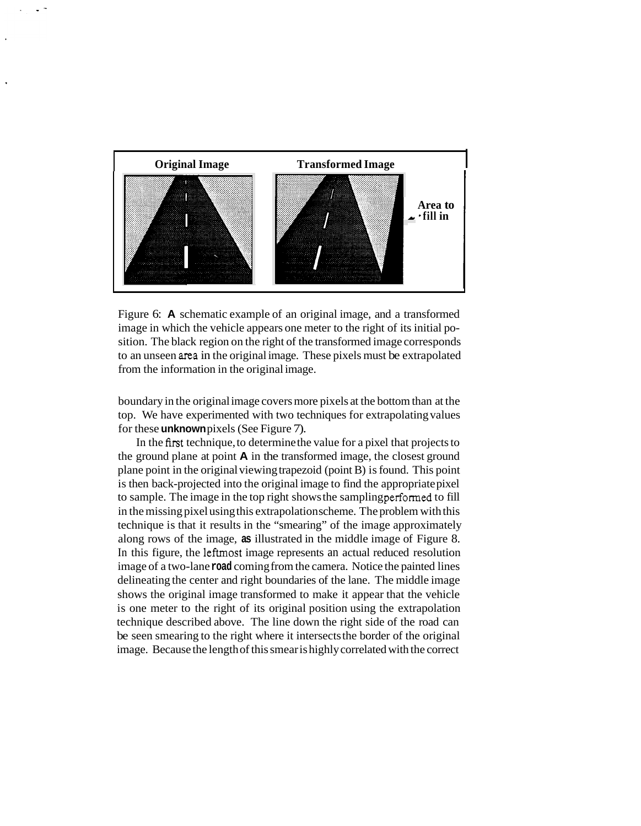

Figure 6: **A** schematic example of an original image, and a transformed image in which the vehicle appears one meter to the right of its initial position. The black region on the right of the transformed image corresponds to an unseen area in the original image. These pixels must be extrapolated from the information in the original image.

boundary in the original image covers more pixels at the bottom than at the top. We have experimented with two techniques for extrapolating values for these **unknown** pixels (See Figure 7).

In the first technique, to determine the value for a pixel that projects to the ground plane at point **A** in the transformed image, the closest ground plane point in the original viewing trapezoid (point B) is found. This point is then back-projected into the original image to find the appropriate pixel to sample. The image in the top right shows the sampling performed to fill in the missing pixel using this extrapolation scheme. The problem with this technique is that it results in the "smearing" of the image approximately along rows of the image, **as** illustrated in the middle image of Figure 8. In this figure, the leftmost image represents an actual reduced resolution image of a two-lane **road** coming from the camera. Notice the painted lines delineating the center and right boundaries of the lane. The middle image shows the original image transformed to make it appear that the vehicle is one meter to the right of its original position using the extrapolation technique described above. The line down the right side of the road can be seen smearing to the right where it intersects the border of the original image. Because the length of this smear is highly correlated with the correct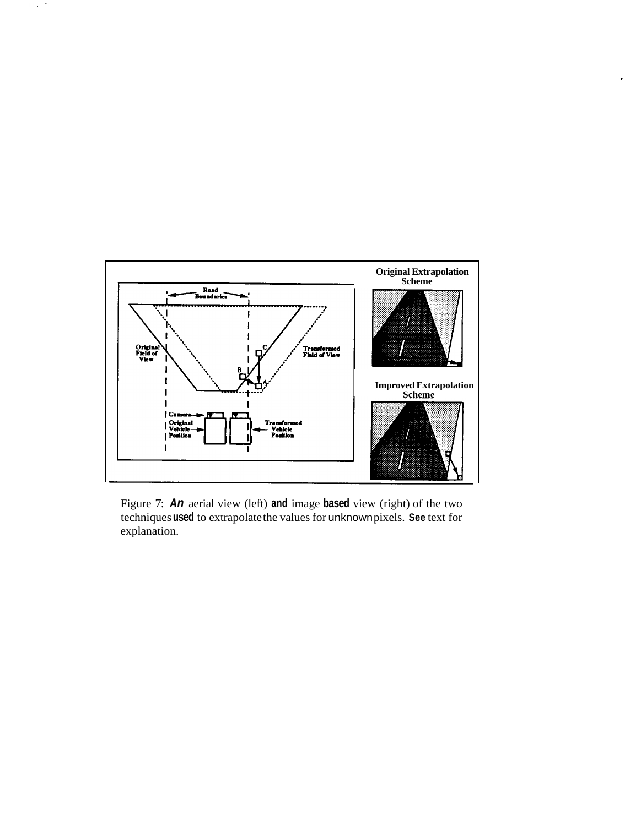

 $\bullet$ 

 $\zeta$   $^{-1}$ 

Figure 7: *An* aerial view (left) **and** image **based** view (right) of the two techniques **used** to extrapolate the values for unknown pixels. **See** text for explanation.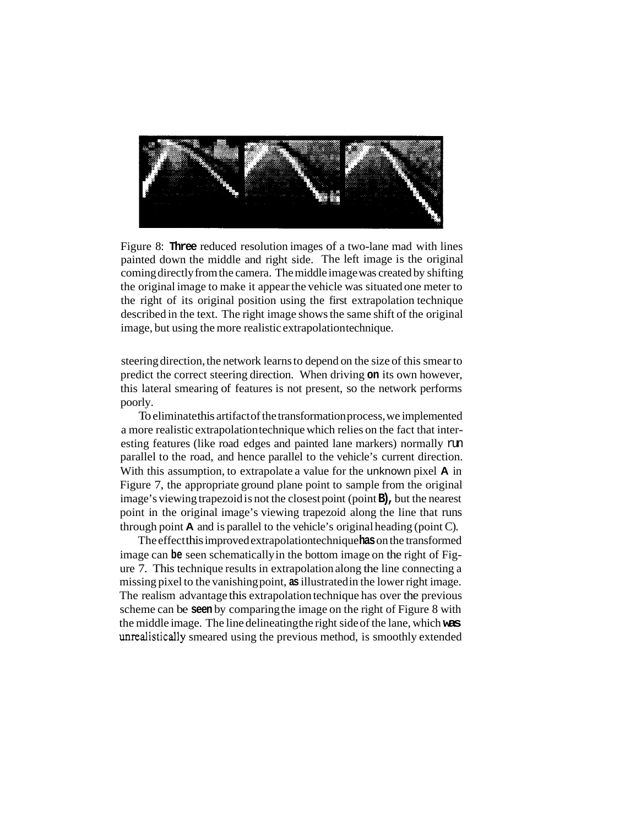

Figure 8: **Three** reduced resolution images of a two-lane mad with lines painted down the middle and right side. The left image is the original coming directly from the camera. The middle image was created by shifting the original image to make it appear the vehicle was situated one meter to the right of its original position using the first extrapolation technique described in the text. The right image shows the same shift of the original image, but using the more realistic extrapolation technique.

steering direction, the network learns to depend on the size of this smear to predict the correct steering direction. When driving **on** its own however, this lateral smearing of features is not present, so the network performs poorly.

To eliminate this artifact of the transformation process, we implemented a more realistic extrapolation technique which relies on the fact that interesting features (like road edges and painted lane markers) normally run parallel to the road, and hence parallel to the vehicle's current direction. With this assumption, to extrapolate a value for the unknown pixel **A** in Figure 7, the appropriate ground plane point to sample from the original image's viewing trapezoid is not the closest point (point **B),** but the nearest point in the original image's viewing trapezoid along the line that runs through point **A** and is parallel to the vehicle's original heading (point C).

The effect this improved extrapolation technique **has** on the transformed image can **be** seen schematically in the bottom image on the right of Figure 7. This technique results in extrapolation along the line connecting a missing pixel to the vanishing point, **as** illustrated in the lower right image. The realism advantage this extrapolation technique has over the previous scheme can be **seen** by comparing the image on the right of Figure 8 with the middle image. The line delineating the right side of the lane, which **was**  unrealistically smeared using the previous method, is smoothly extended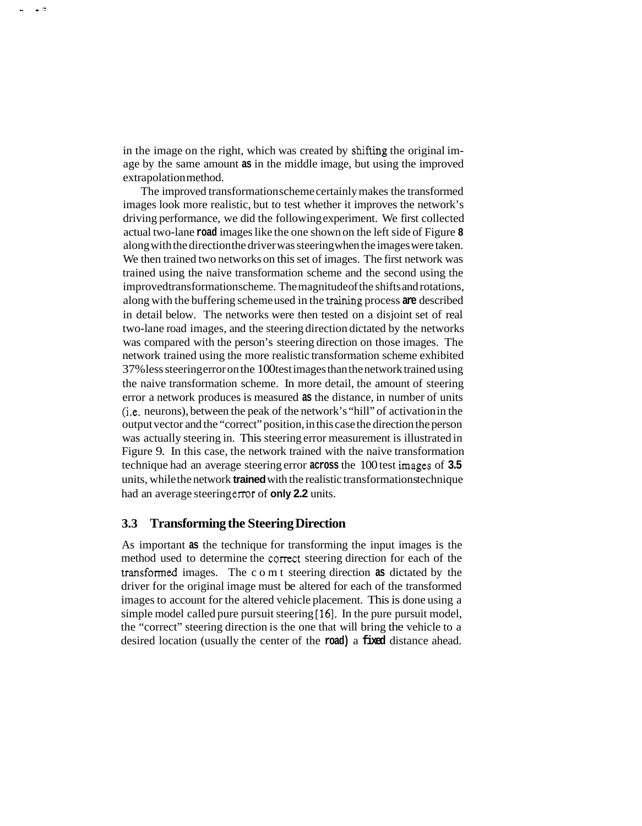in the image on the right, which was created by shifting the original image by the same amount **as** in the middle image, but using the improved extrapolation method.

 $\sim$   $\sigma$ 

The improved transformation scheme certainly makes the transformed images look more realistic, but to test whether it improves the network's driving performance, we did the following experiment. We first collected actual two-lane **road** images like the one shown on the left side of Figure **8**  along with the direction the driver was steering when the images were taken. We then trained two networks on this set of images. The first network was trained using the naive transformation scheme and the second using the improvedtransformation scheme. The magnitude of the shifts and rotations, along with the buffering scheme used in the training process **are** described in detail below. The networks were then tested on a disjoint set of real two-lane road images, and the steering direction dictated by the networks was compared with the person's steering direction on those images. The network trained using the more realistic transformation scheme exhibited 37% less steering error on the 100 test images than the network trained using the naive transformation scheme. In more detail, the amount of steering error a network produces is measured **as** the distance, in number of units (i.e. neurons), between the peak of the network's "hill" of activation in the output vector and the "correct" position, in this case the direction the person was actually steering in. This steering error measurement is illustrated in Figure 9. In this case, the network trained with the naive transformation technique had an average steering error **across** the 100 test images of **3.5**  units, while the network **trained** with the realistic transformations technique had an average steering error of **only 2.2** units.

#### **3.3 Transforming the Steering Direction**

As important **as** the technique for transforming the input images is the method used to determine the correct steering direction for each of the transformed images. The comt steering direction **as** dictated by the driver for the original image must be altered for each of the transformed images to account for the altered vehicle placement. This is done using a simple model called pure pursuit steering **[16].** In the pure pursuit model, the "correct" steering direction is the one that will bring the vehicle to a desired location (usually the center of the **road)** a **fixed** distance ahead.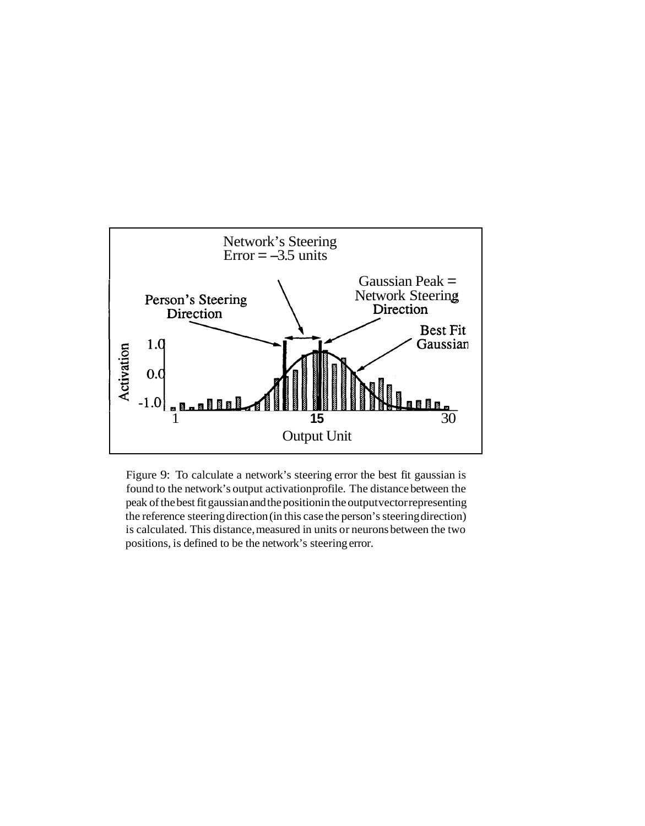

Figure 9: To calculate a network's steering error the best fit gaussian is found to the network's output activation profile. The distance between the peak of the best fit gaussian and the positionin the output vector representing the reference steering direction (in this case the person's steering direction) is calculated. This distance, measured in units or neurons between the two positions, is defined to be the network's steering error.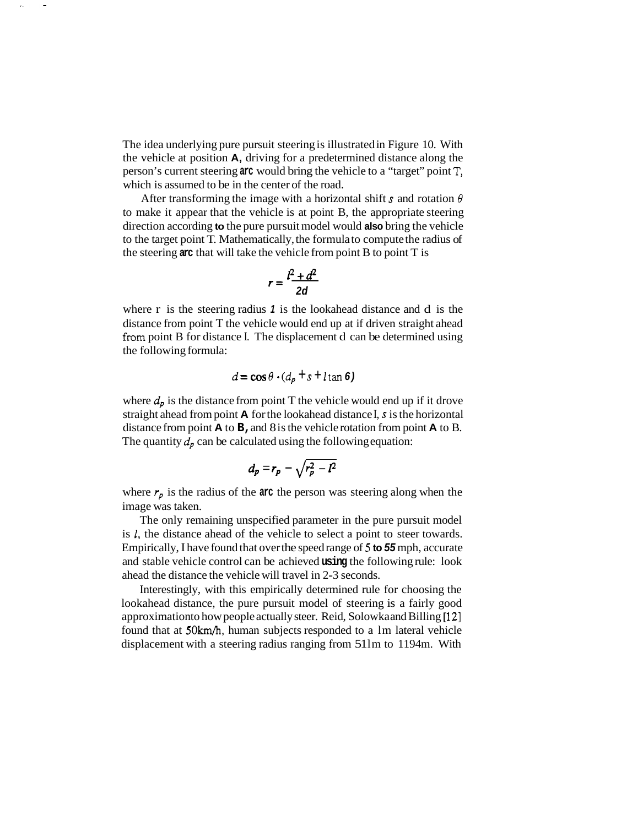The idea underlying pure pursuit steering is illustrated in Figure 10. With the vehicle at position **A,** driving for a predetermined distance along the person's current steering **arc** would bring the vehicle to a "target" point **T,**  which is assumed to be in the center of the road.

After transforming the image with a horizontal shift  $s$  and rotation  $\theta$ to make it appear that the vehicle is at point B, the appropriate steering direction according **to** the pure pursuit model would **also** bring the vehicle to the target point T. Mathematically, the formula to compute the radius of the steering **arc** that will take the vehicle from point B to point T is ge with a horizont<br>
cle is at point B, i<br>
pursuit model wou<br>
cally, the formulat<br>
e vehicle from poin<br>  $r = \frac{l^2 + d^2}{2d}$ 

$$
r=\frac{l^2+d^2}{2d}
$$

where r is the steering radius *1* is the lookahead distance and d is the distance from point T the vehicle would end up at if driven straight ahead from point B for distance I. The displacement d can be determined using the following formula:

$$
d = \cos \theta \cdot (d_p + s + l \tan 6)
$$

where  $d_p$  is the distance from point T the vehicle would end up if it drove straight ahead from point **A** for the lookahead distance I, **s** is the horizontal distance from point **A** to **B,** and 8 is the vehicle rotation from point **A** to B. The quantity  $d_p$  can be calculated using the following equation:

$$
d_p = r_p - \sqrt{r_p^2 - l^2}
$$

where  $r_p$  is the radius of the **arc** the person was steering along when the image was taken.

The only remaining unspecified parameter in the pure pursuit model is *I,* the distance ahead of the vehicle to select a point to steer towards. Empirically, I have found that over the speed range of *5* **to** *55* mph, accurate and stable vehicle control can be achieved **using** the following rule: look ahead the distance the vehicle will travel in 2-3 seconds.

Interestingly, with this empirically determined rule for choosing the lookahead distance, the pure pursuit model of steering is a fairly good approximation to how people actually steer. Reid, Solowka and Billing [12] found that at **50km/h,** human subjects responded to a lm lateral vehicle displacement with a steering radius ranging from 511m to 1194m. With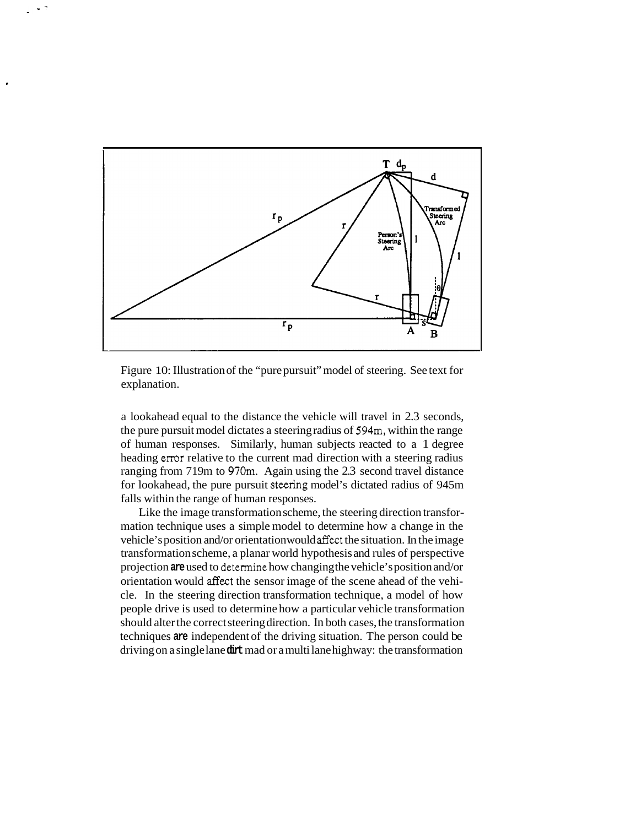

Figure 10: Illustration of the "pure pursuit" model of steering. See text for explanation.

a lookahead equal to the distance the vehicle will travel in 2.3 seconds, the pure pursuit model dictates a steering radius of 594m, within the range of human responses. Similarly, human subjects reacted to a 1 degree heading error relative to the current mad direction with a steering radius ranging from 719m to 97Om. Again using the 2.3 second travel distance for lookahead, the pure pursuit steering model's dictated radius of 945m falls within the range of human responses.

Like the image transformation scheme, the steering direction transformation technique uses a simple model to determine how a change in the vehicle's position and/or orientation would affect the situation. In the image transformation scheme, a planar world hypothesis and rules of perspective projection **are** used to determine how changing the vehicle's position and/or orientation would affect the sensor image of the scene ahead of the vehicle. In the steering direction transformation technique, a model of how people drive is used to determine how a particular vehicle transformation should alter the correct steering direction. In both cases, the transformation techniques **are** independent of the driving situation. The person could be driving on a single lane **dirt** mad or a multi lane highway: the transformation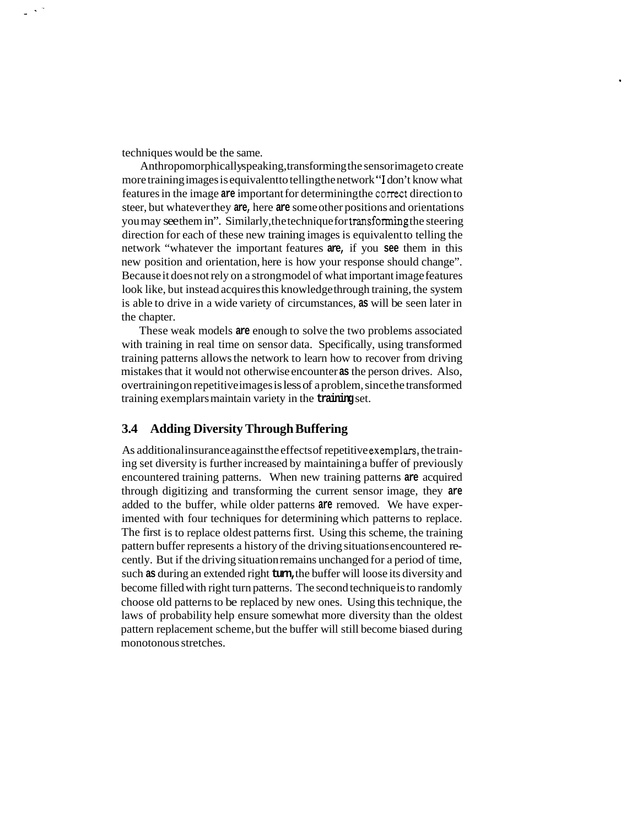techniques would be the same.

Anthropomorphically speaking, transforming the sensor image to create more training images is equivalent to tellingthe network **"I** don't know what features in the image are important for determining the correct direction to steer, but whatever they **are,** here **are** some other positions and orientations you may see them in". Similarly, the technique for transforming the steering direction for each of these new training images is equivalent to telling the network "whatever the important features **are,** if you **see** them in this new position and orientation, here is how your response should change". Because it does not rely on a strong model of what important image features look like, but instead acquires this knowledge through training, the system is able to drive in a wide variety of circumstances, **as** will be seen later in the chapter.

These weak models **are** enough to solve the two problems associated with training in real time on sensor data. Specifically, using transformed training patterns allows the network to learn how to recover from driving mistakes that it would not otherwise encounter **as** the person drives. Also, overtraining on repetitive images is less of a problem, since the transformed training exemplars maintain variety in the **training** set.

#### **3.4 Adding Diversity Through Buffering**

As additional insurance against the effects of repetitive exemplars, the training set diversity is further increased by maintaining a buffer of previously encountered training patterns. When new training patterns **are** acquired through digitizing and transforming the current sensor image, they **are**  added to the buffer, while older patterns **are** removed. We have experimented with four techniques for determining which patterns to replace. The first is to replace oldest patterns first. Using this scheme, the training pattern buffer represents a history of the driving situations encountered recently. But if the driving situation remains unchanged for a period of time, such **as** during an extended right **turn,** the buffer will loose its diversity and become filled with right turn patterns. The second technique is to randomly choose old patterns to be replaced by new ones. Using this technique, the laws of probability help ensure somewhat more diversity than the oldest pattern replacement scheme, but the buffer will still become biased during monotonous stretches.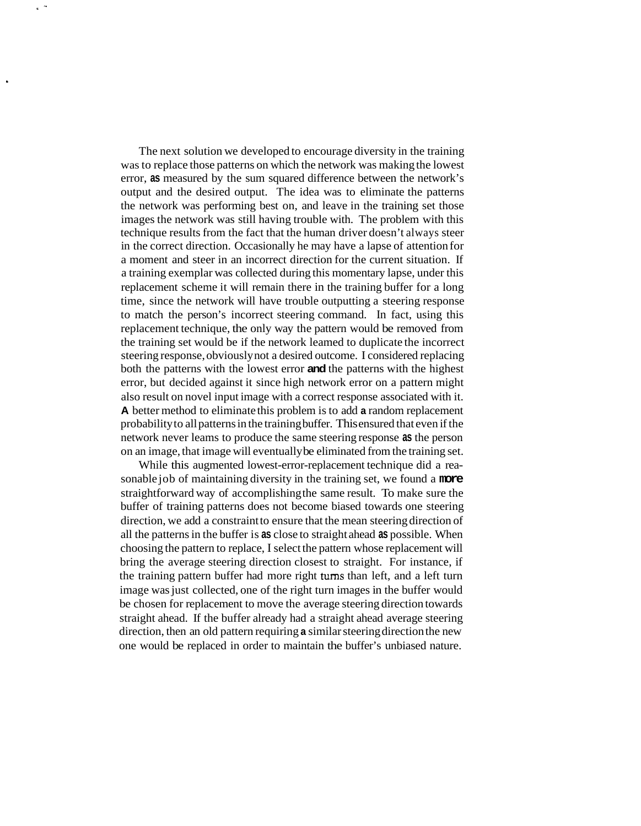The next solution we developed to encourage diversity in the training was to replace those patterns on which the network was making the lowest error, **as** measured by the sum squared difference between the network's output and the desired output. The idea was to eliminate the patterns the network was performing best on, and leave in the training set those images the network was still having trouble with. The problem with this technique results from the fact that the human driver doesn't always steer in the correct direction. Occasionally he may have a lapse of attention for a moment and steer in an incorrect direction for the current situation. If a training exemplar was collected during this momentary lapse, under this replacement scheme it will remain there in the training buffer for a long time, since the network will have trouble outputting a steering response to match the person's incorrect steering command. In fact, using this replacement technique, the only way the pattern would be removed from the training set would be if the network leamed to duplicate the incorrect steering response, obviously not a desired outcome. I considered replacing both the patterns with the lowest error **and** the patterns with the highest error, but decided against it since high network error on a pattern might also result on novel input image with a correct response associated with it. **A** better method to eliminate this problem is to add **a** random replacement probability to all patterns in the training buffer. This ensured that even if the network never leams to produce the same steering response **as** the person on an image, that image will eventually be eliminated from the training set.

While this augmented lowest-error-replacement technique did a reasonable job of maintaining diversity in the training set, we found a **more**  straightforward way of accomplishing the same result. To make sure the buffer of training patterns does not become biased towards one steering direction, we add a constraint to ensure that the mean steering direction of all the patterns in the buffer is **as** close to straight ahead **as** possible. When choosing the pattern to replace, I select the pattern whose replacement will bring the average steering direction closest to straight. For instance, if the training pattern buffer had more right **turns** than left, and a left turn image was just collected, one of the right turn images in the buffer would be chosen for replacement to move the average steering direction towards straight ahead. If the buffer already had a straight ahead average steering direction, then an old pattern requiring **a** similar steering direction the new one would be replaced in order to maintain the buffer's unbiased nature.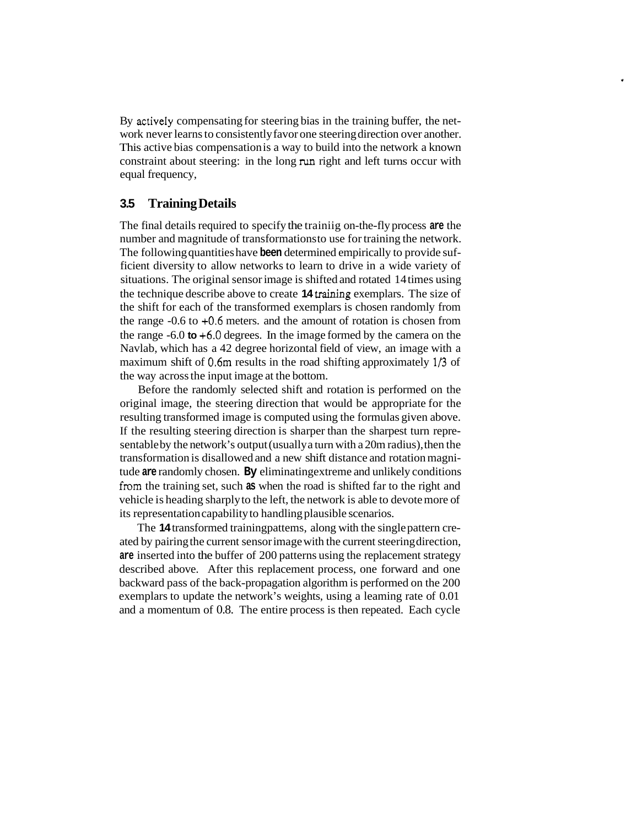By actively compensating for steering bias in the training buffer, the network never learns to consistently favor one steering direction over another. This active bias compensation is a way to build into the network a known constraint about steering: in the long run right and left turns occur with equal frequency,

#### **3.5 Training Details**

The final details required to specify the trainiig on-the-fly process **are** the number and magnitude of transformations to use for training the network. The following quantities have **been** determined empirically to provide sufficient diversity to allow networks to learn to drive in a wide variety of situations. The original sensor image is shifted and rotated 14 times using the technique describe above to create **14** training exemplars. The size of the shift for each of the transformed exemplars is chosen randomly from the range  $-0.6$  to  $+0.6$  meters. and the amount of rotation is chosen from the range -6.0 **to** +6.0 degrees. In the image formed by the camera on the Navlab, which has a 42 degree horizontal field of view, an image with a maximum shift of 0.6m results in the road shifting approximately 1/3 of the way across the input image at the bottom.

Before the randomly selected shift and rotation is performed on the original image, the steering direction that would be appropriate for the resulting transformed image is computed using the formulas given above. If the resulting steering direction is sharper than the sharpest turn representable by the network's output (usually a turn with a 20m radius), then the transformation is disallowed and a new shift distance and rotation magnitude **are** randomly chosen. **By** eliminatingextreme and unlikely conditions from the training set, such as when the road is shifted far to the right and vehicle is heading sharply to the left, the network is able to devote more of its representation capability to handling plausible scenarios.

The **14** transformed trainingpattems, along with the single pattern created by pairing the current sensor image with the current steering direction, **are** inserted into the buffer of 200 patterns using the replacement strategy described above. After this replacement process, one forward and one backward pass of the back-propagation algorithm is performed on the 200 exemplars to update the network's weights, using a leaming rate of 0.01 and a momentum of 0.8. The entire process is then repeated. Each cycle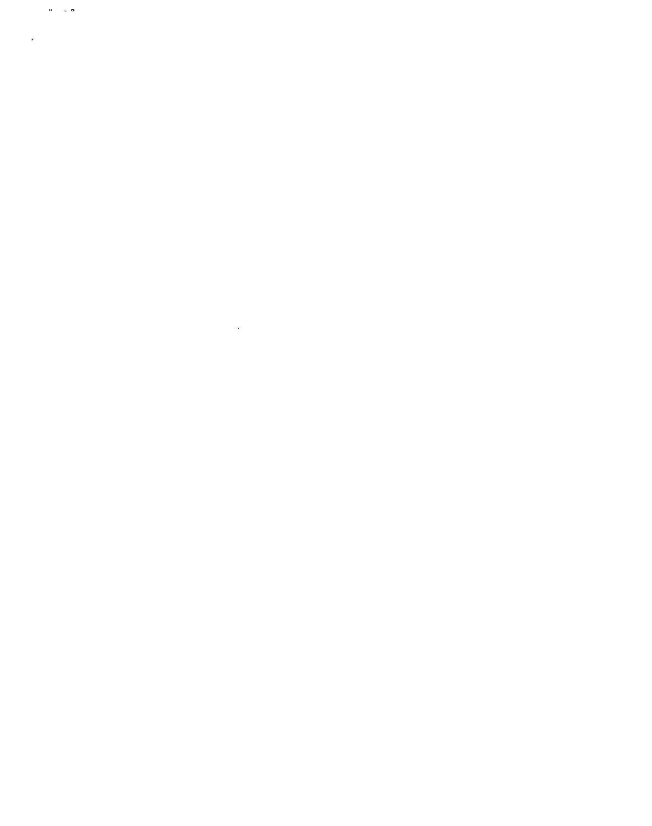$\sigma_{\rm c} = 1/8$ 

 $\mathbf{z} = \mathbf{z}$  ,  $\mathbf{z}$ 

 $\label{eq:2.1} \frac{1}{\sqrt{2}}\left(\frac{1}{\sqrt{2}}\right)^{2} \left(\frac{1}{\sqrt{2}}\right)^{2} \left(\frac{1}{\sqrt{2}}\right)^{2} \left(\frac{1}{\sqrt{2}}\right)^{2} \left(\frac{1}{\sqrt{2}}\right)^{2} \left(\frac{1}{\sqrt{2}}\right)^{2} \left(\frac{1}{\sqrt{2}}\right)^{2} \left(\frac{1}{\sqrt{2}}\right)^{2} \left(\frac{1}{\sqrt{2}}\right)^{2} \left(\frac{1}{\sqrt{2}}\right)^{2} \left(\frac{1}{\sqrt{2}}\right)^{2} \left(\$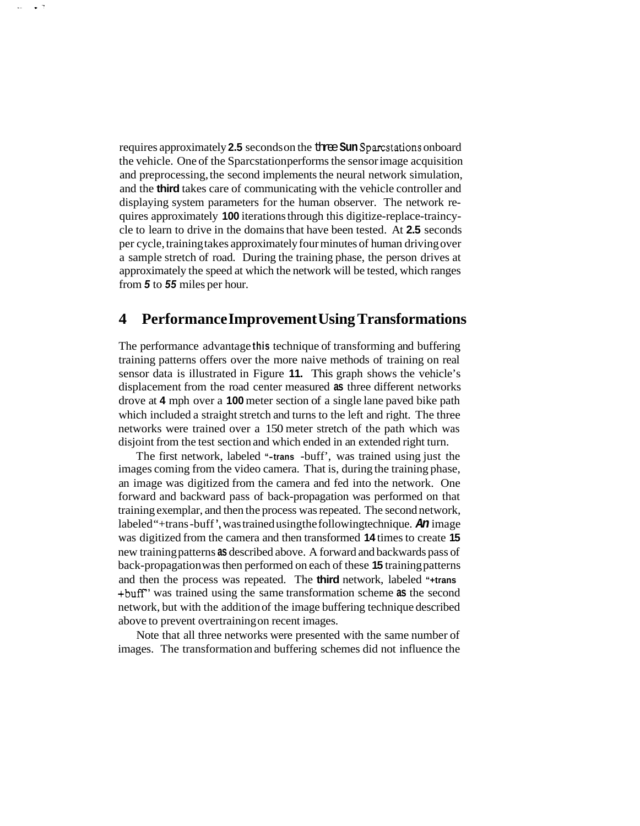requires approximately **2.5** seconds on the three **Sun** Sparcstations onboard the vehicle. One of the Sparcstation performs the sensor image acquisition and preprocessing, the second implements the neural network simulation, and the **third** takes care of communicating with the vehicle controller and displaying system parameters for the human observer. The network requires approximately **100** iterations through this digitize-replace-traincycle to learn to drive in the domains that have been tested. At **2.5** seconds per cycle, training takes approximately four minutes of human driving over a sample stretch of road. During the training phase, the person drives at approximately the speed at which the network will be tested, which ranges from *5* to *55* miles per hour.

# **4 Performance Improvement Using Transformations**

The performance advantage **this** technique of transforming and buffering training patterns offers over the more naive methods of training on real sensor data is illustrated in Figure **11.** This graph shows the vehicle's displacement from the road center measured **as** three different networks drove at **4** mph over a **100** meter section of a single lane paved bike path which included a straight stretch and turns to the left and right. The three networks were trained over a 150 meter stretch of the path which was disjoint from the test section and which ended in an extended right turn.

The first network, labeled **"-trans** -buff', was trained using just the images coming from the video camera. That is, during the training phase, an image was digitized from the camera and fed into the network. One forward and backward pass of back-propagation was performed on that training exemplar, and then the process was repeated. The second network, labeled "+trans -buff ', was trained usingthe following technique. *An* image was digitized from the camera and then transformed **14** times to create **15**  new training patterns **as** described above. A forward and backwards pass of back-propagation was then performed on each of these **15** training patterns and then the process was repeated. The **third** network, labeled **"+trans**  +buff' was trained using the same transformation scheme **as** the second network, but with the addition of the image buffering technique described above to prevent overtraining on recent images.

Note that all three networks were presented with the same number of images. The transformation and buffering schemes did not influence the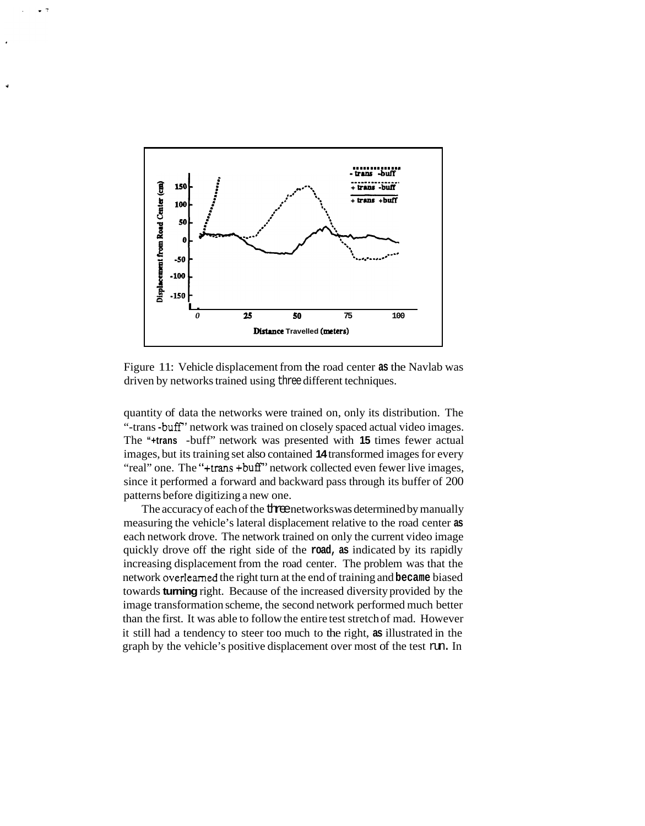

Figure 11: Vehicle displacement from the road center **as** the Navlab was driven by networks trained using three different techniques.

quantity of data the networks were trained on, only its distribution. The "-trans -buff' network was trained on closely spaced actual video images. The **"+trans** -buff" network was presented with **15** times fewer actual images, but its training set also contained **14** transformed images for every "real" one. The "+trans +buff" network collected even fewer live images, since it performed a forward and backward pass through its buffer of 200 patterns before digitizing a new one.

The accuracy of each of the three networks was determined by manually measuring the vehicle's lateral displacement relative to the road center **as**  each network drove. The network trained on only the current video image quickly drove off the right side of the **road, as** indicated by its rapidly increasing displacement from the road center. The problem was that the network overlearned the right turn at the end of training and **became** biased towards **turning** right. Because of the increased diversity provided by the image transformation scheme, the second network performed much better than the first. It was able to follow the entire test stretch of mad. However it still had a tendency to steer too much to the right, **as** illustrated in the graph by the vehicle's positive displacement over most of the test run. In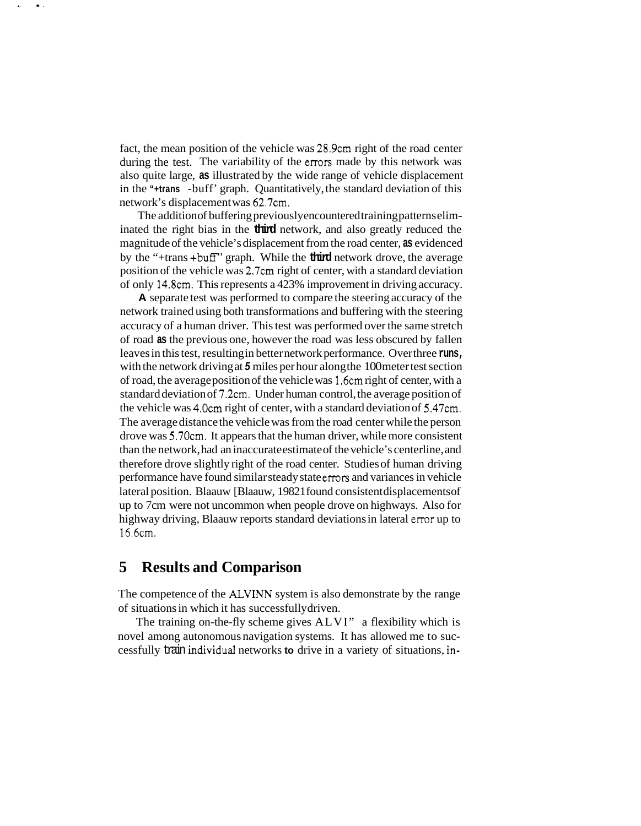fact, the mean position of the vehicle was 28.9cm right of the road center during the test. The variability of the errors made by this network was also quite large, **as** illustrated by the wide range of vehicle displacement in the **"+trans** -buff' graph. Quantitatively, the standard deviation of this network's displacement was 62.7cm.

The addition of buffering previously encountered training patterns eliminated the right bias in the **third** network, and also greatly reduced the magnitude of the vehicle's displacement from the road center, **as** evidenced by the "+trans +buff" graph. While the **third** network drove, the average position of the vehicle was 2.7cm right of center, with a standard deviation of only 14.8cm. This represents a 423% improvement in driving accuracy.

**A** separate test was performed to compare the steering accuracy of the network trained using both transformations and buffering with the steering accuracy of a human driver. This test was performed over the same stretch of road **as** the previous one, however the road was less obscured by fallen leaves in this test, resulting in better network performance. Over three **runs**, with the network driving at 5 miles per hour along the 100 meter test section of road, the average position of the vehicle was 1.6cm right of center, with a standard deviation of 7.2cm. Under human control, the average position of the vehicle was 4.0cm right of center, with a standard deviation of 5.47cm. The average distance the vehicle was from the road center while the person drove was 5.70cm. It appears that the human driver, while more consistent than the network, had an inaccurate estimate of the vehicle's centerline, and therefore drove slightly right of the road center. Studies of human driving performance have found similar steady state emrs and variances in vehicle lateral position. Blaauw [Blaauw, 19821 found consistent displacements of up to 7cm were not uncommon when people drove on highways. Also for highway driving, Blaauw reports standard deviations in lateral error up to 16.6cm.

# **5 Results and Comparison**

.. . .

The competence of the ALVINN system is also demonstrate by the range of situations in which it has successfully driven.

The training on-the-fly scheme gives ALVI" a flexibility which is novel among autonomous navigation systems. It has allowed me to successfully train individual networks **to** drive in a variety of situations, **in-**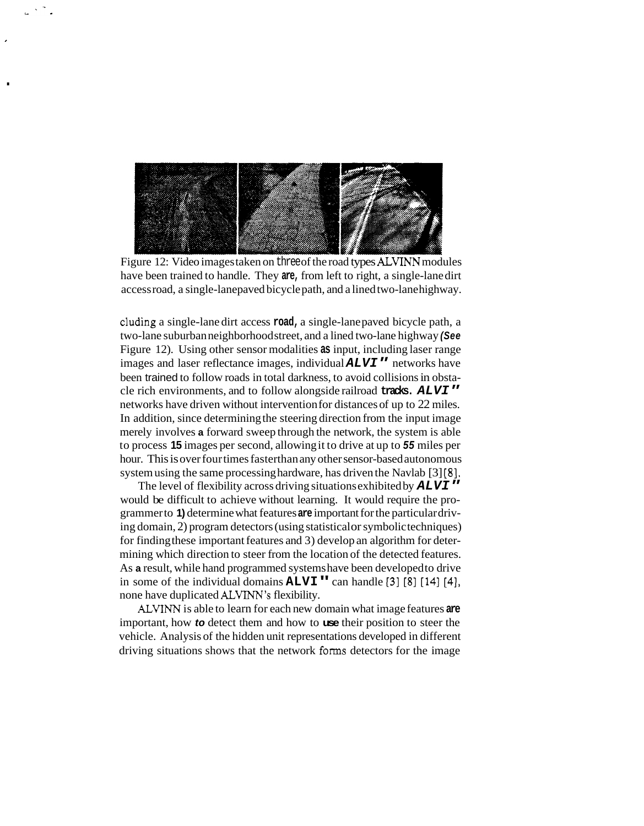

.

Figure 12: Video images taken on three of the road types **ALWNN** modules have been trained to handle. They **are,** from left to right, a single-lane dirt access road, a single-lane paved bicycle path, and a lined two-lane highway.

cluding a single-lane dirt access **road,** a single-lane paved bicycle path, a two-lane suburban neighborhood street, and a lined two-lane highway *(See*  Figure 12). Using other sensor modalities **as** input, including laser range images and laser reflectance images, individual *ALVI"* networks have been trained to follow roads in total darkness, to avoid collisions in obstacle rich environments, and to follow alongside railroad **tracks.** *ALVI"*  networks have driven without intervention for distances of up to 22 miles. In addition, since determining the steering direction from the input image merely involves **a** forward sweep through the network, the system is able to process **15** images per second, allowing it to drive at up to *55* miles per hour. This is over four times fasterthan any other sensor-based autonomous system using the same processing hardware, has driven the Navlab [3] [8].

The level of flexibility across driving situations exhibited by *ALVI"*  would be difficult to achieve without learning. It would require the programmer to **1)** determine what features **are** important for the particular driving domain, 2) program detectors (using statistical or symbolic techniques) for finding these important features and 3) develop an algorithm for determining which direction to steer from the location of the detected features. As **a** result, while hand programmed systems have been developed to drive in some of the individual domains  $ALVI$ <sup>"</sup> can handle [3] [8] [14] [4], none have duplicated **ALVINN**'s flexibility.

ALW" is able to learn for each new domain what image features **are**  important, how *to* detect them and how to **use** their position to steer the vehicle. Analysis of the hidden unit representations developed in different driving situations shows that the network forms detectors for the image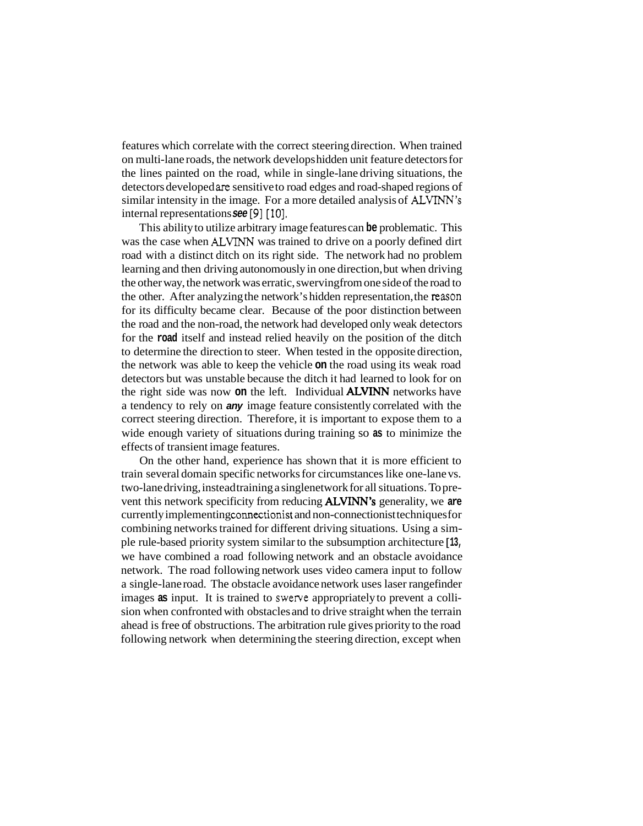features which correlate with the correct steering direction. When trained on multi-lane roads, the network develops hidden unit feature detectors for the lines painted on the road, while in single-lane driving situations, the detectors developed **are** sensitive to road edges and road-shaped regions of similar intensity in the image. For a more detailed analysis of ALVINN's internal representations **see** [9] [10].

This ability to utilize arbitrary image features can **be** problematic. This was the case when ALVINN was trained to drive on a poorly defined dirt road with a distinct ditch on its right side. The network had no problem learning and then driving autonomously in one direction, but when driving the other way, the network was erratic, swerving from one side of the road to the other. After analyzing the network's hidden representation, the reason for its difficulty became clear. Because of the poor distinction between the road and the non-road, the network had developed only weak detectors for the **road** itself and instead relied heavily on the position of the ditch to determine the direction to steer. When tested in the opposite direction, the network was able to keep the vehicle **on** the road using its weak road detectors but was unstable because the ditch it had learned to look for on the right side was now on the left. Individual **ALVINN** networks have a tendency to rely on *any* image feature consistently correlated with the correct steering direction. Therefore, it is important to expose them to a wide enough variety of situations during training so **as** to minimize the effects of transient image features.

On the other hand, experience has shown that it is more efficient to train several domain specific networks for circumstances like one-lane vs. two-lane driving, instead training a singlenetwork for all situations. To prevent this network specificity from reducing **ALVIN"s** generality, we **are**  currently implementing connectionist and non-connectionist techniques for combining networks trained for different driving situations. Using a simple rule-based priority system similar to the subsumption architecture [ **13,**  we have combined a road following network and an obstacle avoidance network. The road following network uses video camera input to follow a single-lane road. The obstacle avoidance network uses laser rangefinder images **as** input. It is trained to swewe appropriately to prevent a collision when confronted with obstacles and to drive straight when the terrain ahead is free of obstructions. The arbitration rule gives priority to the road following network when determining the steering direction, except when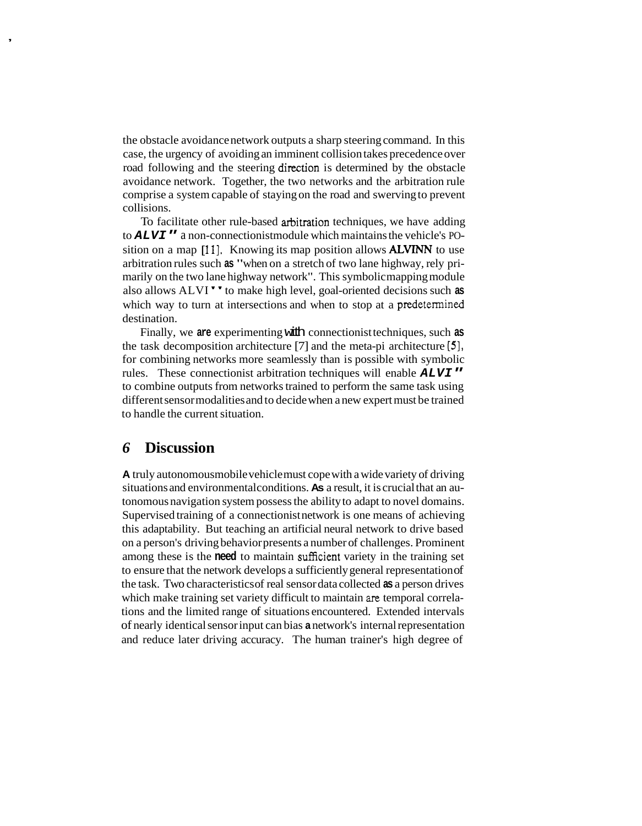the obstacle avoidance network outputs a sharp steering command. In this case, the urgency of avoiding an imminent collision takes precedence over road following and the steering direction is determined by the obstacle avoidance network. Together, the two networks and the arbitration rule comprise a system capable of staying on the road and swerving to prevent collisions.

To facilitate other rule-based arbitration techniques, we have adding to **ALVI<sup>"</sup>** a non-connectionist module which maintains the vehicle's POsition on a map [11]. Knowing its map position allows **ALVINN** to use arbitration rules such **as** "when on a stretch of two lane highway, rely primarily on the two lane highway network". This symbolic mapping module also allows ALVI" to make high level, goal-oriented decisions such **as**  which way to turn at intersections and when to stop at a predetermined destination.

Finally, we **are** experimenting with connectionist techniques, such **as**  the task decomposition architecture [7] and the meta-pi architecture *[5],*  for combining networks more seamlessly than is possible with symbolic rules. These connectionist arbitration techniques will enable *ALVI"*  to combine outputs from networks trained to perform the same task using different sensor modalities and to decide when a new expert must be trained to handle the current situation.

# *6* **Discussion**

,

**A** truly autonomous mobile vehicle must cope with a wide variety of driving situations and environmental conditions. **As** a result, it is crucial that an autonomous navigation system possess the ability to adapt to novel domains. Supervised training of a connectionist network is one means of achieving this adaptability. But teaching an artificial neural network to drive based on a person's driving behavior presents a number of challenges. Prominent among these is the **need** to maintain sufficient variety in the training set to ensure that the network develops a sufficiently general representation of the task. Two characteristics of real sensor data collected **as** a person drives which make training set variety difficult to maintain **are** temporal correlations and the limited range of situations encountered. Extended intervals of nearly identical sensor input can bias **a** network's internal representation and reduce later driving accuracy. The human trainer's high degree of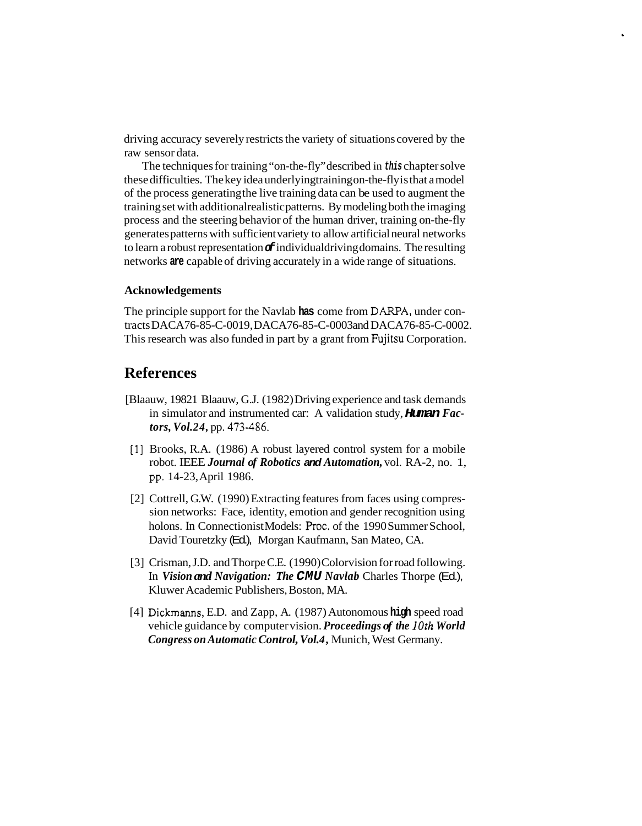driving accuracy severely restricts the variety of situations covered by the raw sensor data.

The techniques for training "on-the-fly" described in *this* chapter solve these difficulties. The key idea underlying training on-the-fly is that a model of the process generating the live training data can be used to augment the training set with additional realistic patterns. By modeling both the imaging process and the steering behavior of the human driver, training on-the-fly generates patterns with sufficient variety to allow artificial neural networks to learn a robust representation  $\sigma$  individual driving domains. The resulting networks **are** capable of driving accurately in a wide range of situations.

#### **Acknowledgements**

The principle support for the Navlab **has** come from DARPA, under contracts DACA76-85-C-0019, DACA76-85-C-0003 and DACA76-85-C-0002. This research was also funded in part by a grant from Fujitsu Corporation.

### **References**

- [Blaauw, 19821 Blaauw, G.J. (1982) Driving experience and task demands in simulator and instrumented car: A validation study, *Human Factors, Vol. 24,* pp. 473-486.
- [l] Brooks, R.A. (1986) A robust layered control system for a mobile robot. IEEE *Journal of Robotics and Automation,* vol. RA-2, no. 1, pp. 14-23, April 1986.
- [2] Cottrell, G.W. (1990) Extracting features from faces using compression networks: Face, identity, emotion and gender recognition using holons. In Connectionist Models: Proc. of the 1990 Summer School, David Touretzky (Ed.), Morgan Kaufmann, San Mateo, CA.
- [3] Crisman, J.D. and Thorpe C.E. (1990) Colorvision for road following. In *Vision and Navigation: The CMU Navlab* Charles Thorpe (Ed.), Kluwer Academic Publishers, Boston, MA.
- [4] Dickmanns, E.D. and Zapp, A. (1987) Autonomous **high** speed road vehicle guidance by computer vision. *Proceedings of the 10th World Congress on Automatic Control, Vol. 4,* Munich, West Germany.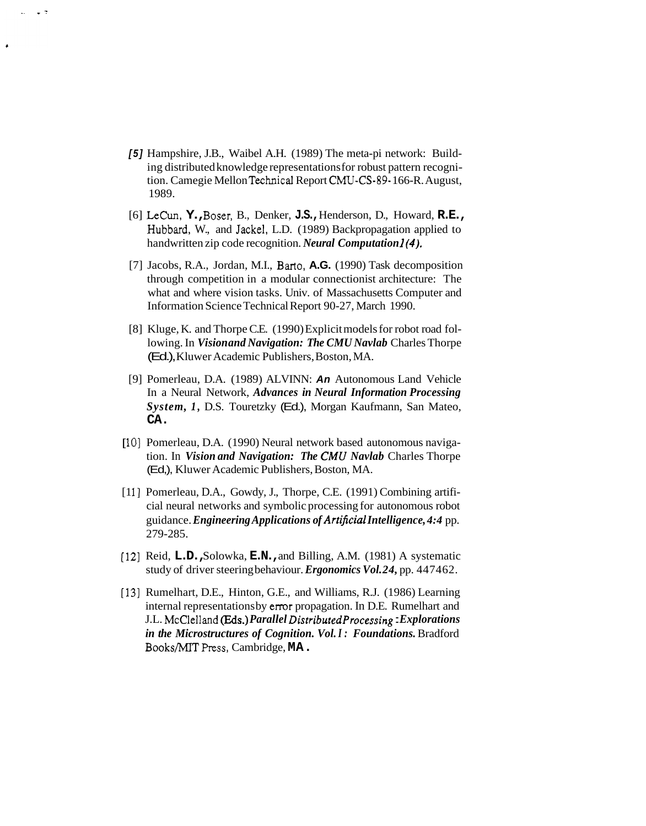*[5]* Hampshire, J.B., Waibel A.H. (1989) The meta-pi network: Building distributed knowledge representations for robust pattern recognition. Camegie Mellon Technical Report **CMU-CS-89-** 166-R. August, 1989.

 $\cdot$  3

- [6] LeCun, **Y.,** Boser, B., Denker, **J.S.,** Henderson, D., Howard, **R.E.,**  Hubbard, W., and Jackel, L.D. (1989) Backpropagation applied to handwritten zip code recognition. *Neural Computation l(4).*
- [7] Jacobs, R.A., Jordan, M.I., Barto, **A.G.** (1990) Task decomposition through competition in a modular connectionist architecture: The what and where vision tasks. Univ. of Massachusetts Computer and Information Science Technical Report 90-27, March 1990.
- [8] Kluge, K. and Thorpe C.E. (1990) Explicit models for robot road following. In *Vision and Navigation: The CMU Navlab* Charles Thorpe (Ed.), Kluwer Academic Publishers, Boston, MA.
- [9] Pomerleau, D.A. (1989) ALVINN: *An* Autonomous Land Vehicle In a Neural Network, *Advances in Neural Information Processing System, 1,* D.S. Touretzky (Ed.), Morgan Kaufmann, San Mateo, **CA.**
- [ 101 Pomerleau, D.A. (1990) Neural network based autonomous navigation. In *Vision and Navigation: The CMU Navlab* Charles Thorpe (Ed,), Kluwer Academic Publishers, Boston, MA.
- [11] Pomerleau, D.A., Gowdy, J., Thorpe, C.E. (1991) Combining artificial neural networks and symbolic processing for autonomous robot guidance. *Engineering Applications of Artificial Intelligence, 4:4* pp. 279-285.
- [12] Reid, **L.D.,** Solowka, **E.N.,** and Billing, A.M. (1981) A systematic study of driver steering behaviour. *Ergonomics Vol. 24,* pp. 447462.
- 1131 Rumelhart, D.E., Hinton, G.E., and Williams, R.J. (1986) Learning internal representations by error propagation. In D.E. Rumelhart and J.L. McClelland **(Eds.)** *Parallel DistributedProcessing* : *Explorations in the Microstructures of Cognition. Vol. I: Foundations. Bradford* Books/MIT Press, Cambridge, MA.